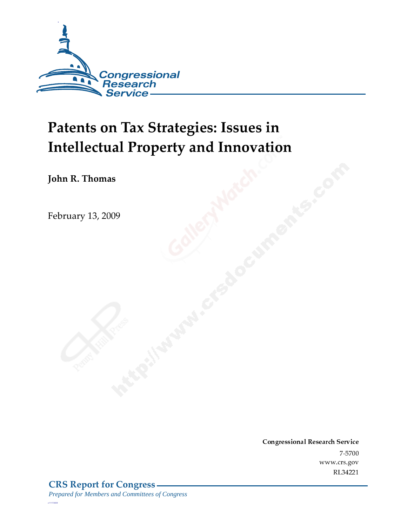

# Patents on Tax Strategies: Issues in **Intellectual Property and Innovation**

John R. Thomas

February 13, 2009

Conglessional Research Service  $7 - 2700$ www.crs.gov RL34221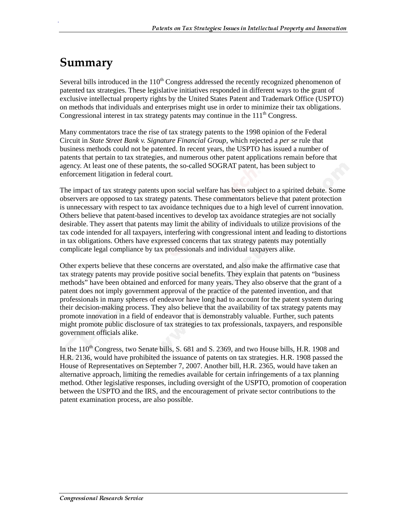# Summary

.

Several bills introduced in the  $110<sup>th</sup>$  Congress addressed the recently recognized phenomenon of patented tax strategies. These legislative initiatives responded in different ways to the grant of exclusive intellectual property rights by the United States Patent and Trademark Office (USPTO) on methods that individuals and enterprises might use in order to minimize their tax obligations. Congressional interest in tax strategy patents may continue in the  $111<sup>th</sup>$  Congress.

Many commentators trace the rise of tax strategy patents to the 1998 opinion of the Federal Circuit in *State Street Bank v. Signature Financial Group*, which rejected a *per se* rule that business methods could not be patented. In recent years, the USPTO has issued a number of patents that pertain to tax strategies, and numerous other patent applications remain before that agency. At least one of these patents, the so-called SOGRAT patent, has been subject to enforcement litigation in federal court.

The impact of tax strategy patents upon social welfare has been subject to a spirited debate. Some observers are opposed to tax strategy patents. These commentators believe that patent protection is unnecessary with respect to tax avoidance techniques due to a high level of current innovation. Others believe that patent-based incentives to develop tax avoidance strategies are not socially desirable. They assert that patents may limit the ability of individuals to utilize provisions of the tax code intended for all taxpayers, interfering with congressional intent and leading to distortions in tax obligations. Others have expressed concerns that tax strategy patents may potentially complicate legal compliance by tax professionals and individual taxpayers alike.

Other experts believe that these concerns are overstated, and also make the affirmative case that tax strategy patents may provide positive social benefits. They explain that patents on "business methods" have been obtained and enforced for many years. They also observe that the grant of a patent does not imply government approval of the practice of the patented invention, and that professionals in many spheres of endeavor have long had to account for the patent system during their decision-making process. They also believe that the availability of tax strategy patents may promote innovation in a field of endeavor that is demonstrably valuable. Further, such patents might promote public disclosure of tax strategies to tax professionals, taxpayers, and responsible government officials alike.

In the  $110^{th}$  Congress, two Senate bills, S. 681 and S. 2369, and two House bills, H.R. 1908 and H.R. 2136, would have prohibited the issuance of patents on tax strategies. H.R. 1908 passed the House of Representatives on September 7, 2007. Another bill, H.R. 2365, would have taken an alternative approach, limiting the remedies available for certain infringements of a tax planning method. Other legislative responses, including oversight of the USPTO, promotion of cooperation between the USPTO and the IRS, and the encouragement of private sector contributions to the patent examination process, are also possible.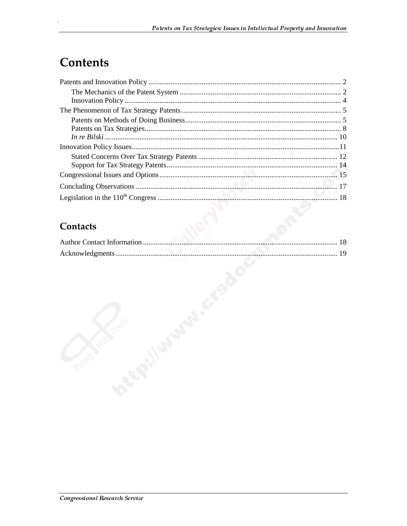# **Contents**

## **Contacts**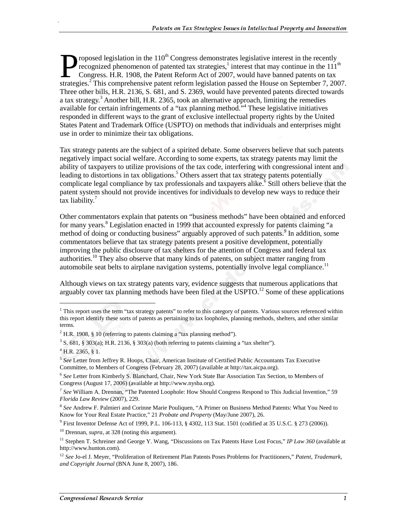roposed legislation in the  $110^{th}$  Congress demonstrates legislative interest in the recently recognized phenomenon of patented tax strategies,<sup>1</sup> interest that may continue in the  $111<sup>th</sup>$ Congress. H.R. 1908, the Patent Reform Act of 2007, would have banned patents on tax **Subsequent Franch Proposed legislation in the 110<sup>th</sup> Congress demonstrates legislative interest in the recently recognized phenomenon of patented tax strategies,<sup>1</sup> interest that may continue in the 111<sup>th</sup> Congress. H.R** Three other bills, H.R. 2136, S. 681, and S. 2369, would have prevented patents directed towards a tax strategy.<sup>3</sup> Another bill, H.R. 2365, took an alternative approach, limiting the remedies available for certain infringements of a "tax planning method."<sup>4</sup> These legislative initiatives responded in different ways to the grant of exclusive intellectual property rights by the United States Patent and Trademark Office (USPTO) on methods that individuals and enterprises might use in order to minimize their tax obligations.

Tax strategy patents are the subject of a spirited debate. Some observers believe that such patents negatively impact social welfare. According to some experts, tax strategy patents may limit the ability of taxpayers to utilize provisions of the tax code, interfering with congressional intent and leading to distortions in tax obligations.<sup>5</sup> Others assert that tax strategy patents potentially complicate legal compliance by tax professionals and taxpayers alike.<sup>6</sup> Still others believe that the patent system should not provide incentives for individuals to develop new ways to reduce their tax liability. $7$ 

Other commentators explain that patents on "business methods" have been obtained and enforced for many years.<sup>8</sup> Legislation enacted in 1999 that accounted expressly for patents claiming "a method of doing or conducting business" arguably approved of such patents.<sup>9</sup> In addition, some commentators believe that tax strategy patents present a positive development, potentially improving the public disclosure of tax shelters for the attention of Congress and federal tax authorities.<sup>10</sup> They also observe that many kinds of patents, on subject matter ranging from automobile seat belts to airplane navigation systems, potentially involve legal compliance.<sup>11</sup>

Although views on tax strategy patents vary, evidence suggests that numerous applications that arguably cover tax planning methods have been filed at the USPTO.<sup>12</sup> Some of these applications

j

.

<sup>9</sup> First Inventor Defense Act of 1999, P.L. 106-113,  $\S$  4302, 113 Stat. 1501 (codified at 35 U.S.C.  $\S$  273 (2006)).

10 Drennan, *supra,* at 328 (noting this argument).

<sup>&</sup>lt;sup>1</sup> This report uses the term "tax strategy patents" to refer to this category of patents. Various sources referenced within this report identify these sorts of patents as pertaining to tax loopholes, planning methods, shelters, and other similar terms.

 $2$  H.R. 1908, § 10 (referring to patents claiming a "tax planning method").

 $3$  S. 681, § 303(a); H.R. 2136, § 303(a) (both referring to patents claiming a "tax shelter").

 $^{4}$  H.R. 2365, § 1.

<sup>5</sup> *See* Letter from Jeffrey R. Hoops, Chair, American Institute of Certified Public Accountants Tax Executive Committee, to Members of Congress (February 28, 2007) (available at http://tax.aicpa.org).

<sup>6</sup> *See* Letter from Kimberly S. Blanchard, Chair, New York State Bar Association Tax Section, to Members of Congress (August 17, 2006) (available at http://www.nysba.org).

<sup>7</sup> *See* William A. Drennan, "The Patented Loophole: How Should Congress Respond to This Judicial Invention," 59 *Florida Law Review* (2007), 229.

<sup>8</sup> *See* Andrew F. Palmieri and Corinne Marie Pouliquen, "A Primer on Business Method Patents: What You Need to Know for Your Real Estate Practice," 21 *Probate and Property* (May/June 2007), 26.

<sup>11</sup> Stephen T. Schreiner and George Y. Wang, "Discussions on Tax Patents Have Lost Focus," *IP Law 360* (available at http://www.hunton.com).

<sup>12</sup> *See* Jo-el J. Meyer, "Proliferation of Retirement Plan Patents Poses Problems for Practitioners," *Patent, Trademark, and Copyright Journal* (BNA June 8, 2007), 186.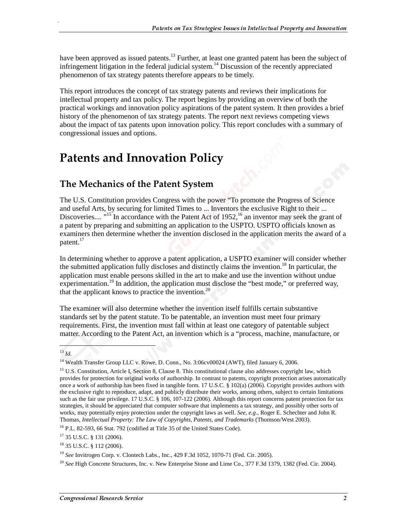have been approved as issued patents.<sup>13</sup> Further, at least one granted patent has been the subject of infringement litigation in the federal judicial system.<sup>14</sup> Discussion of the recently appreciated phenomenon of tax strategy patents therefore appears to be timely.

This report introduces the concept of tax strategy patents and reviews their implications for intellectual property and tax policy. The report begins by providing an overview of both the practical workings and innovation policy aspirations of the patent system. It then provides a brief history of the phenomenon of tax strategy patents. The report next reviews competing views about the impact of tax patents upon innovation policy. This report concludes with a summary of congressional issues and options.

# **Patents and Innovation Policy**

## The Mechanics of the Patent System

The U.S. Constitution provides Congress with the power "To promote the Progress of Science and useful Arts, by securing for limited Times to ... Inventors the exclusive Right to their ... Discoveries....  $^{15}$  In accordance with the Patent Act of 1952, <sup>16</sup> an inventor may seek the grant of a patent by preparing and submitting an application to the USPTO. USPTO officials known as examiners then determine whether the invention disclosed in the application merits the award of a patent.<sup>17</sup>

In determining whether to approve a patent application, a USPTO examiner will consider whether the submitted application fully discloses and distinctly claims the invention.<sup>18</sup> In particular, the application must enable persons skilled in the art to make and use the invention without undue experimentation.<sup>19</sup> In addition, the application must disclose the "best mode," or preferred way, that the applicant knows to practice the invention.<sup>20</sup>

The examiner will also determine whether the invention itself fulfills certain substantive standards set by the patent statute. To be patentable, an invention must meet four primary requirements. First, the invention must fall within at least one category of patentable subject matter. According to the Patent Act, an invention which is a "process, machine, manufacture, or

j

<sup>13</sup> *Id.*

<sup>&</sup>lt;sup>14</sup> Wealth Transfer Group LLC v. Rowe, D. Conn., No. 3:06cv00024 (AWT), filed January 6, 2006.

<sup>&</sup>lt;sup>15</sup> U.S. Constitution, Article I, Section 8, Clause 8. This constitutional clause also addresses copyright law, which provides for protection for original works of authorship. In contrast to patents, copyright protection arises automatically once a work of authorship has been fixed in tangible form. 17 U.S.C. § 102(a) (2006). Copyright provides authors with the exclusive right to reproduce, adapt, and publicly distribute their works, among others, subject to certain limitations such as the fair use privilege. 17 U.S.C. § 106, 107-122 (2006). Although this report concerns patent protection for tax strategies, it should be appreciated that computer software that implements a tax strategy, and possibly other sorts of works, may potentially enjoy protection under the copyright laws as well. *See, e.g.,* Roger E. Schechter and John R. Thomas, *Intellectual Property: The Law of Copyrights, Patents, and Trademarks* (Thomson/West 2003).

<sup>16</sup> P.L. 82-593, 66 Stat. 792 (codified at Title 35 of the United States Code).

<sup>17 35</sup> U.S.C. § 131 (2006).

<sup>18 35</sup> U.S.C. § 112 (2006).

<sup>19</sup> *See* Invitrogen Corp. v. Clontech Labs., Inc., 429 F.3d 1052, 1070-71 (Fed. Cir. 2005).

<sup>20</sup> *See* High Concrete Structures, Inc. v. New Enterprise Stone and Lime Co., 377 F.3d 1379, 1382 (Fed. Cir. 2004).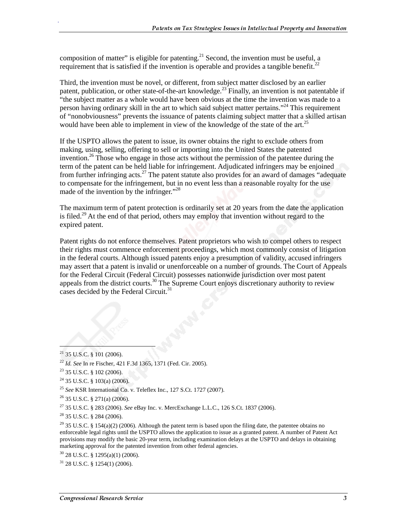composition of matter" is eligible for patenting.<sup>21</sup> Second, the invention must be useful, a requirement that is satisfied if the invention is operable and provides a tangible benefit.<sup>22</sup>

Third, the invention must be novel, or different, from subject matter disclosed by an earlier patent, publication, or other state-of-the-art knowledge.<sup>23</sup> Finally, an invention is not patentable if "the subject matter as a whole would have been obvious at the time the invention was made to a person having ordinary skill in the art to which said subject matter pertains."<sup>24</sup> This requirement of "nonobviousness" prevents the issuance of patents claiming subject matter that a skilled artisan would have been able to implement in view of the knowledge of the state of the art.<sup>25</sup>

If the USPTO allows the patent to issue, its owner obtains the right to exclude others from making, using, selling, offering to sell or importing into the United States the patented invention.<sup>26</sup> Those who engage in those acts without the permission of the patentee during the term of the patent can be held liable for infringement. Adjudicated infringers may be enjoined from further infringing acts.<sup>27</sup> The patent statute also provides for an award of damages "adequate" to compensate for the infringement, but in no event less than a reasonable royalty for the use made of the invention by the infringer."<sup>28</sup>

The maximum term of patent protection is ordinarily set at 20 years from the date the application is filed.<sup>29</sup> At the end of that period, others may employ that invention without regard to the expired patent.

Patent rights do not enforce themselves. Patent proprietors who wish to compel others to respect their rights must commence enforcement proceedings, which most commonly consist of litigation in the federal courts. Although issued patents enjoy a presumption of validity, accused infringers may assert that a patent is invalid or unenforceable on a number of grounds. The Court of Appeals for the Federal Circuit (Federal Circuit) possesses nationwide jurisdiction over most patent appeals from the district courts.<sup>30</sup> The Supreme Court enjoys discretionary authority to review cases decided by the Federal Circuit.<sup>31</sup>

 $\overline{a}$ 

 $21$  35 U.S.C. § 101 (2006).

<sup>22</sup> *Id. See* In re Fischer, 421 F.3d 1365, 1371 (Fed. Cir. 2005).

 $23$  35 U.S.C. § 102 (2006).

 $24$  35 U.S.C. § 103(a) (2006).

<sup>25</sup> *See* KSR International Co. v. Teleflex Inc., 127 S.Ct. 1727 (2007).

 $26$  35 U.S.C. § 271(a) (2006).

<sup>27 35</sup> U.S.C. § 283 (2006). *See* eBay Inc. v. MercExchange L.L.C., 126 S.Ct. 1837 (2006).

<sup>28 35</sup> U.S.C. § 284 (2006).

<sup>&</sup>lt;sup>29</sup> 35 U.S.C. § 154(a)(2) (2006). Although the patent term is based upon the filing date, the patentee obtains no enforceable legal rights until the USPTO allows the application to issue as a granted patent. A number of Patent Act provisions may modify the basic 20-year term, including examination delays at the USPTO and delays in obtaining marketing approval for the patented invention from other federal agencies.

 $30$  28 U.S.C. § 1295(a)(1) (2006).

 $31$  28 U.S.C. § 1254(1) (2006).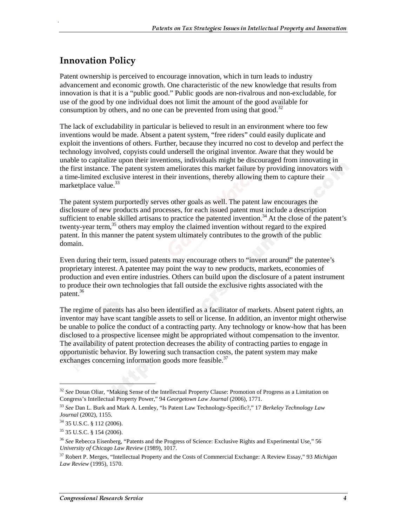### **Innovation Policy**

.

Patent ownership is perceived to encourage innovation, which in turn leads to industry advancement and economic growth. One characteristic of the new knowledge that results from innovation is that it is a "public good." Public goods are non-rivalrous and non-excludable, for use of the good by one individual does not limit the amount of the good available for consumption by others, and no one can be prevented from using that good.<sup>32</sup>

The lack of excludability in particular is believed to result in an environment where too few inventions would be made. Absent a patent system, "free riders" could easily duplicate and exploit the inventions of others. Further, because they incurred no cost to develop and perfect the technology involved, copyists could undersell the original inventor. Aware that they would be unable to capitalize upon their inventions, individuals might be discouraged from innovating in the first instance. The patent system ameliorates this market failure by providing innovators with a time-limited exclusive interest in their inventions, thereby allowing them to capture their marketplace value.<sup>33</sup>

The patent system purportedly serves other goals as well. The patent law encourages the disclosure of new products and processes, for each issued patent must include a description sufficient to enable skilled artisans to practice the patented invention.<sup>34</sup> At the close of the patent's twenty-year term,<sup>35</sup> others may employ the claimed invention without regard to the expired patent. In this manner the patent system ultimately contributes to the growth of the public domain.

Even during their term, issued patents may encourage others to "invent around" the patentee's proprietary interest. A patentee may point the way to new products, markets, economies of production and even entire industries. Others can build upon the disclosure of a patent instrument to produce their own technologies that fall outside the exclusive rights associated with the patent.<sup>36</sup>

The regime of patents has also been identified as a facilitator of markets. Absent patent rights, an inventor may have scant tangible assets to sell or license. In addition, an inventor might otherwise be unable to police the conduct of a contracting party. Any technology or know-how that has been disclosed to a prospective licensee might be appropriated without compensation to the inventor. The availability of patent protection decreases the ability of contracting parties to engage in opportunistic behavior. By lowering such transaction costs, the patent system may make exchanges concerning information goods more feasible.<sup>37</sup>

j

<sup>32</sup> *See* Dotan Oliar, "Making Sense of the Intellectual Property Clause: Promotion of Progress as a Limitation on Congress's Intellectual Property Power," 94 *Georgetown Law Journal* (2006), 1771.

<sup>33</sup> *See* Dan L. Burk and Mark A. Lemley, "Is Patent Law Technology-Specific?," 17 *Berkeley Technology Law Journal* (2002), 1155.

<sup>34 35</sup> U.S.C. § 112 (2006).

<sup>35 35</sup> U.S.C. § 154 (2006).

<sup>36</sup> *See* Rebecca Eisenberg, "Patents and the Progress of Science: Exclusive Rights and Experimental Use," 56 *University of Chicago Law Review* (1989), 1017.

<sup>37</sup> Robert P. Merges, "Intellectual Property and the Costs of Commercial Exchange: A Review Essay," 93 *Michigan Law Review* (1995), 1570.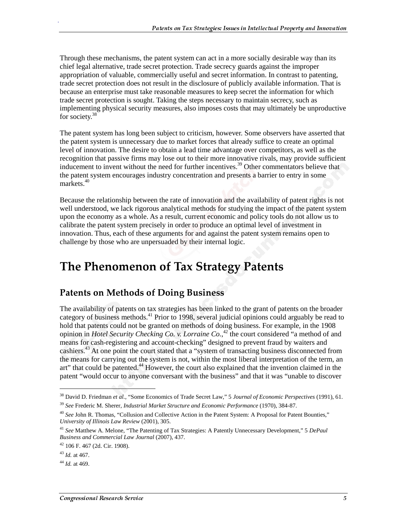Through these mechanisms, the patent system can act in a more socially desirable way than its chief legal alternative, trade secret protection. Trade secrecy guards against the improper appropriation of valuable, commercially useful and secret information. In contrast to patenting, trade secret protection does not result in the disclosure of publicly available information. That is because an enterprise must take reasonable measures to keep secret the information for which trade secret protection is sought. Taking the steps necessary to maintain secrecy, such as implementing physical security measures, also imposes costs that may ultimately be unproductive for society.<sup>38</sup>

The patent system has long been subject to criticism, however. Some observers have asserted that the patent system is unnecessary due to market forces that already suffice to create an optimal level of innovation. The desire to obtain a lead time advantage over competitors, as well as the recognition that passive firms may lose out to their more innovative rivals, may provide sufficient inducement to invent without the need for further incentives.<sup>39</sup> Other commentators believe that the patent system encourages industry concentration and presents a barrier to entry in some markets.<sup>40</sup>

Because the relationship between the rate of innovation and the availability of patent rights is not well understood, we lack rigorous analytical methods for studying the impact of the patent system upon the economy as a whole. As a result, current economic and policy tools do not allow us to calibrate the patent system precisely in order to produce an optimal level of investment in innovation. Thus, each of these arguments for and against the patent system remains open to challenge by those who are unpersuaded by their internal logic.

# The Phenomenon of Tax Strategy Patents

## **Patents on Methods of Doing Business**

The availability of patents on tax strategies has been linked to the grant of patents on the broader category of business methods.<sup>41</sup> Prior to 1998, several judicial opinions could arguably be read to hold that patents could not be granted on methods of doing business. For example, in the 1908 opinion in *Hotel Security Checking Co. v. Lorraine Co.*, 42 the court considered "a method of and means for cash-registering and account-checking" designed to prevent fraud by waiters and cashiers.<sup>43</sup> At one point the court stated that a "system of transacting business disconnected from the means for carrying out the system is not, within the most liberal interpretation of the term, an art" that could be patented.<sup>44</sup> However, the court also explained that the invention claimed in the patent "would occur to anyone conversant with the business" and that it was "unable to discover

 $\overline{a}$ 

<sup>38</sup> David D. Friedman *et al.*, "Some Economics of Trade Secret Law," 5 *Journal of Economic Perspectives* (1991), 61.

<sup>39</sup> *See* Frederic M. Sherer, *Industrial Market Structure and Economic Performance* (1970), 384-87.

<sup>&</sup>lt;sup>40</sup> See John R. Thomas, "Collusion and Collective Action in the Patent System: A Proposal for Patent Bounties," *University of Illinois Law Review* (2001), 305.

<sup>41</sup> *See* Matthew A. Melone, "The Patenting of Tax Strategies: A Patently Unnecessary Development," 5 *DePaul Business and Commercial Law Journal* (2007), 437.

<sup>42 106</sup> F. 467 (2d. Cir. 1908).

<sup>43</sup> *Id.* at 467.

<sup>44</sup> *Id.* at 469.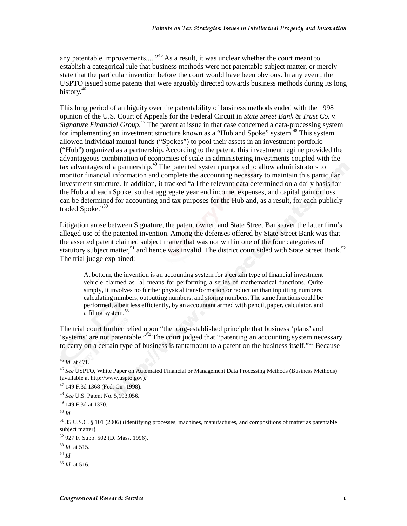any patentable improvements....  $^{45}$  As a result, it was unclear whether the court meant to establish a categorical rule that business methods were not patentable subject matter, or merely state that the particular invention before the court would have been obvious. In any event, the USPTO issued some patents that were arguably directed towards business methods during its long history.<sup>46</sup>

This long period of ambiguity over the patentability of business methods ended with the 1998 opinion of the U.S. Court of Appeals for the Federal Circuit in *State Street Bank & Trust Co. v. Signature Financial Group*. 47 The patent at issue in that case concerned a data-processing system for implementing an investment structure known as a "Hub and Spoke" system.<sup>48</sup> This system allowed individual mutual funds ("Spokes") to pool their assets in an investment portfolio ("Hub") organized as a partnership. According to the patent, this investment regime provided the advantageous combination of economies of scale in administering investments coupled with the tax advantages of a partnership.<sup>49</sup> The patented system purported to allow administrators to monitor financial information and complete the accounting necessary to maintain this particular investment structure. In addition, it tracked "all the relevant data determined on a daily basis for the Hub and each Spoke, so that aggregate year end income, expenses, and capital gain or loss can be determined for accounting and tax purposes for the Hub and, as a result, for each publicly traded Spoke."<sup>50</sup>

Litigation arose between Signature, the patent owner, and State Street Bank over the latter firm's alleged use of the patented invention. Among the defenses offered by State Street Bank was that the asserted patent claimed subject matter that was not within one of the four categories of statutory subject matter,<sup>51</sup> and hence was invalid. The district court sided with State Street Bank.<sup>52</sup> The trial judge explained:

At bottom, the invention is an accounting system for a certain type of financial investment vehicle claimed as [a] means for performing a series of mathematical functions. Quite simply, it involves no further physical transformation or reduction than inputting numbers, calculating numbers, outputting numbers, and storing numbers. The same functions could be performed, albeit less efficiently, by an accountant armed with pencil, paper, calculator, and a filing system.<sup>53</sup>

The trial court further relied upon "the long-established principle that business 'plans' and 'systems' are not patentable."54 The court judged that "patenting an accounting system necessary to carry on a certain type of business is tantamount to a patent on the business itself."<sup>55</sup> Because

.

<sup>55</sup> *Id.* at 516.

<sup>45</sup> *Id.* at 471.

<sup>46</sup> *See* USPTO, White Paper on Automated Financial or Management Data Processing Methods (Business Methods) (available at http://www.uspto.gov).

<sup>47 149</sup> F.3d 1368 (Fed. Cir. 1998).

<sup>48</sup> *See* U.S. Patent No. 5,193,056.

<sup>49 149</sup> F.3d at 1370.

<sup>50</sup> *Id.*

<sup>51 35</sup> U.S.C. § 101 (2006) (identifying processes, machines, manufactures, and compositions of matter as patentable subject matter).

<sup>52 927</sup> F. Supp. 502 (D. Mass. 1996).

<sup>53</sup> *Id.* at 515.

<sup>54</sup> *Id.*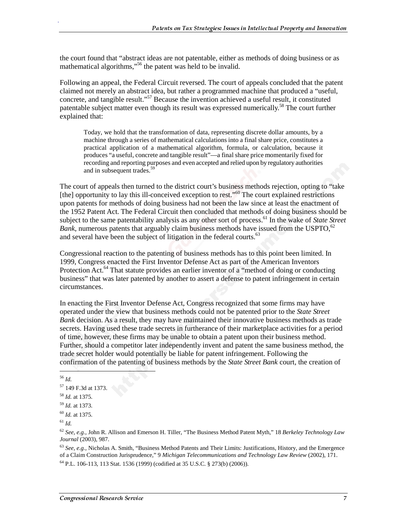the court found that "abstract ideas are not patentable, either as methods of doing business or as mathematical algorithms,"<sup>56</sup> the patent was held to be invalid.

Following an appeal, the Federal Circuit reversed. The court of appeals concluded that the patent claimed not merely an abstract idea, but rather a programmed machine that produced a "useful, concrete, and tangible result."<sup>57</sup> Because the invention achieved a useful result, it constituted patentable subject matter even though its result was expressed numerically.<sup>58</sup> The court further explained that:

Today, we hold that the transformation of data, representing discrete dollar amounts, by a machine through a series of mathematical calculations into a final share price, constitutes a practical application of a mathematical algorithm, formula, or calculation, because it produces "a useful, concrete and tangible result"—a final share price momentarily fixed for recording and reporting purposes and even accepted and relied upon by regulatory authorities and in subsequent trades.<sup>59</sup>

The court of appeals then turned to the district court's business methods rejection, opting to "take [the] opportunity to lay this ill-conceived exception to rest."<sup>60</sup> The court explained restrictions upon patents for methods of doing business had not been the law since at least the enactment of the 1952 Patent Act. The Federal Circuit then concluded that methods of doing business should be subject to the same patentability analysis as any other sort of process.<sup>61</sup> In the wake of *State Street Bank*, numerous patents that arguably claim business methods have issued from the USPTO,  $62$ and several have been the subject of litigation in the federal courts.<sup>63</sup>

Congressional reaction to the patenting of business methods has to this point been limited. In 1999, Congress enacted the First Inventor Defense Act as part of the American Inventors Protection Act.<sup>64</sup> That statute provides an earlier inventor of a "method of doing or conducting business" that was later patented by another to assert a defense to patent infringement in certain circumstances.

In enacting the First Inventor Defense Act, Congress recognized that some firms may have operated under the view that business methods could not be patented prior to the *State Street Bank* decision. As a result, they may have maintained their innovative business methods as trade secrets. Having used these trade secrets in furtherance of their marketplace activities for a period of time, however, these firms may be unable to obtain a patent upon their business method. Further, should a competitor later independently invent and patent the same business method, the trade secret holder would potentially be liable for patent infringement. Following the confirmation of the patenting of business methods by the *State Street Bank* court, the creation of

<sup>56</sup> *Id.*

 $\overline{\phantom{a}}$ 

.

<sup>63</sup> *See, e.g.,* Nicholas A. Smith, "Business Method Patents and Their Limits: Justifications, History, and the Emergence of a Claim Construction Jurisprudence," 9 *Michigan Telecommunications and Technology Law Review* (2002), 171.

64 P.L. 106-113, 113 Stat. 1536 (1999) (codified at 35 U.S.C. § 273(b) (2006)).

<sup>57 149</sup> F.3d at 1373.

<sup>58</sup> *Id.* at 1375.

<sup>59</sup> *Id.* at 1373.

<sup>60</sup> *Id.* at 1375.

<sup>61</sup> *Id.*

<sup>62</sup> *See, e.g.,* John R. Allison and Emerson H. Tiller, "The Business Method Patent Myth," 18 *Berkeley Technology Law Journal* (2003), 987.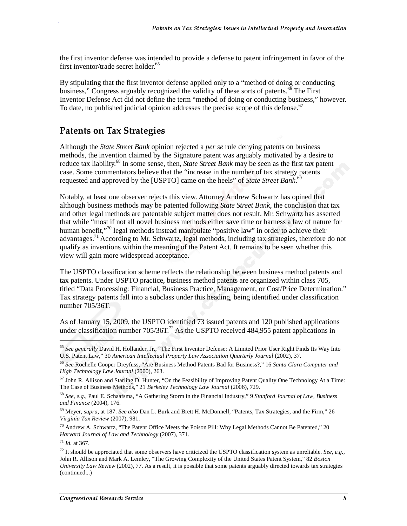the first inventor defense was intended to provide a defense to patent infringement in favor of the first inventor/trade secret holder.<sup>65</sup>

By stipulating that the first inventor defense applied only to a "method of doing or conducting business," Congress arguably recognized the validity of these sorts of patents.<sup>66</sup> The First Inventor Defense Act did not define the term "method of doing or conducting business," however. To date, no published judicial opinion addresses the precise scope of this defense.<sup>67</sup>

### **Patents on Tax Strategies**

Although the *State Street Bank* opinion rejected a *per se* rule denying patents on business methods, the invention claimed by the Signature patent was arguably motivated by a desire to reduce tax liability.<sup>68</sup> In some sense, then, *State Street Bank* may be seen as the first tax patent case. Some commentators believe that the "increase in the number of tax strategy patents requested and approved by the [USPTO] came on the heels" of *State Street Bank*. 69

Notably, at least one observer rejects this view. Attorney Andrew Schwartz has opined that although business methods may be patented following *State Street Bank*, the conclusion that tax and other legal methods are patentable subject matter does not result. Mr. Schwartz has asserted that while "most if not all novel business methods either save time or harness a law of nature for human benefit,"<sup>70</sup> legal methods instead manipulate "positive law" in order to achieve their advantages.<sup>71</sup> According to Mr. Schwartz, legal methods, including tax strategies, therefore do not qualify as inventions within the meaning of the Patent Act. It remains to be seen whether this view will gain more widespread acceptance.

The USPTO classification scheme reflects the relationship between business method patents and tax patents. Under USPTO practice, business method patents are organized within class 705, titled "Data Processing: Financial, Business Practice, Management, or Cost/Price Determination." Tax strategy patents fall into a subclass under this heading, being identified under classification number 705/36T.

As of January 15, 2009, the USPTO identified 73 issued patents and 120 published applications under classification number  $705/36T$ .<sup>72</sup> As the USPTO received 484,955 patent applications in

 $\overline{a}$ 

<sup>65</sup> *See generally* David H. Hollander, Jr., "The First Inventor Defense: A Limited Prior User Right Finds Its Way Into U.S. Patent Law," 30 *American Intellectual Property Law Association Quarterly Journal* (2002), 37.

<sup>66</sup> *See* Rochelle Cooper Dreyfuss, "Are Business Method Patents Bad for Business?," 16 *Santa Clara Computer and High Technology Law Journal* (2000), 263.

 $67$  John R. Allison and Starling D. Hunter, "On the Feasibility of Improving Patent Quality One Technology At a Time: The Case of Business Methods," 21 *Berkeley Technology Law Journal* (2006), 729.

<sup>68</sup> *See, e.g.,* Paul E. Schaafsma, "A Gathering Storm in the Financial Industry," 9 *Stanford Journal of Law, Business and Finance* (2004), 176.

<sup>69</sup> Meyer, *supra*, at 187. *See also* Dan L. Burk and Brett H. McDonnell, "Patents, Tax Strategies, and the Firm," 26 *Virginia Tax Review* (2007), 981.

<sup>70</sup> Andrew A. Schwartz, "The Patent Office Meets the Poison Pill: Why Legal Methods Cannot Be Patented," 20 *Harvard Journal of Law and Technology* (2007), 371.

<sup>71</sup> *Id.* at 367.

 $^{72}$  It should be appreciated that some observers have criticized the USPTO classification system as unreliable. *See, e.g.*, John R. Allison and Mark A. Lemley, "The Growing Complexity of the United States Patent System," 82 *Boston University Law Review* (2002), 77. As a result, it is possible that some patents arguably directed towards tax strategies (continued...)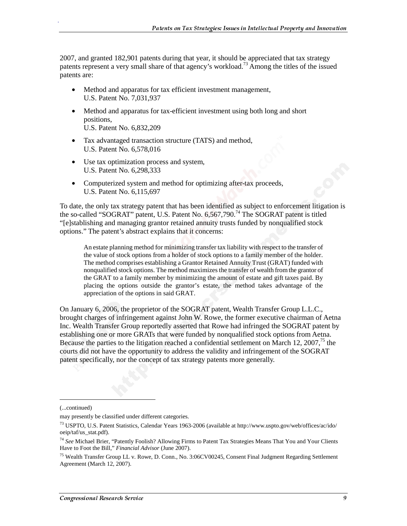2007, and granted 182,901 patents during that year, it should be appreciated that tax strategy patents represent a very small share of that agency's workload.73 Among the titles of the issued patents are:

- Method and apparatus for tax efficient investment management, U.S. Patent No. 7,031,937
- Method and apparatus for tax-efficient investment using both long and short positions, U.S. Patent No. 6,832,209
- Tax advantaged transaction structure (TATS) and method, U.S. Patent No. 6,578,016
- Use tax optimization process and system, U.S. Patent No. 6,298,333
- Computerized system and method for optimizing after-tax proceeds, U.S. Patent No. 6,115,697

To date, the only tax strategy patent that has been identified as subject to enforcement litigation is the so-called "SOGRAT" patent, U.S. Patent No. 6,567,790.<sup>74</sup> The SOGRAT patent is titled "[e]stablishing and managing grantor retained annuity trusts funded by nonqualified stock options." The patent's abstract explains that it concerns:

An estate planning method for minimizing transfer tax liability with respect to the transfer of the value of stock options from a holder of stock options to a family member of the holder. The method comprises establishing a Grantor Retained Annuity Trust (GRAT) funded with nonqualified stock options. The method maximizes the transfer of wealth from the grantor of the GRAT to a family member by minimizing the amount of estate and gift taxes paid. By placing the options outside the grantor's estate, the method takes advantage of the appreciation of the options in said GRAT.

On January 6, 2006, the proprietor of the SOGRAT patent, Wealth Transfer Group L.L.C., brought charges of infringement against John W. Rowe, the former executive chairman of Aetna Inc. Wealth Transfer Group reportedly asserted that Rowe had infringed the SOGRAT patent by establishing one or more GRATs that were funded by nonqualified stock options from Aetna. Because the parties to the litigation reached a confidential settlement on March 12, 2007,<sup>75</sup> the courts did not have the opportunity to address the validity and infringement of the SOGRAT patent specifically, nor the concept of tax strategy patents more generally.

j

<sup>(...</sup>continued)

may presently be classified under different categories.

<sup>73</sup> USPTO, U.S. Patent Statistics, Calendar Years 1963-2006 (available at http://www.uspto.gov/web/offices/ac/ido/ oeip/taf/us\_stat.pdf).

<sup>74</sup> *See* Michael Brier, "Patently Foolish? Allowing Firms to Patent Tax Strategies Means That You and Your Clients Have to Foot the Bill," *Financial Advisor* (June 2007).

<sup>&</sup>lt;sup>75</sup> Wealth Transfer Group LL v. Rowe, D. Conn., No. 3:06CV00245, Consent Final Judgment Regarding Settlement Agreement (March 12, 2007).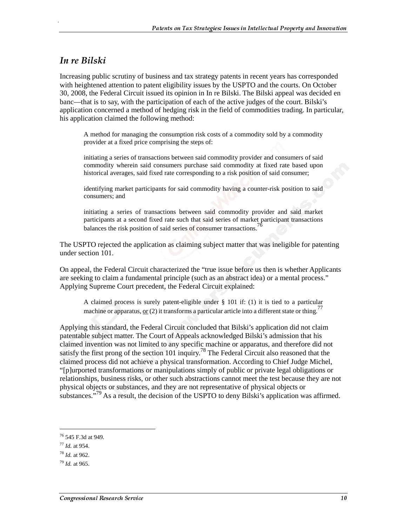### In re Bilski

.

Increasing public scrutiny of business and tax strategy patents in recent years has corresponded with heightened attention to patent eligibility issues by the USPTO and the courts. On October 30, 2008, the Federal Circuit issued its opinion in In re Bilski. The Bilski appeal was decided en banc—that is to say, with the participation of each of the active judges of the court. Bilski's application concerned a method of hedging risk in the field of commodities trading. In particular, his application claimed the following method:

A method for managing the consumption risk costs of a commodity sold by a commodity provider at a fixed price comprising the steps of:

initiating a series of transactions between said commodity provider and consumers of said commodity wherein said consumers purchase said commodity at fixed rate based upon historical averages, said fixed rate corresponding to a risk position of said consumer;

identifying market participants for said commodity having a counter-risk position to said consumers; and

initiating a series of transactions between said commodity provider and said market participants at a second fixed rate such that said series of market participant transactions balances the risk position of said series of consumer transactions.<sup>76</sup>

The USPTO rejected the application as claiming subject matter that was ineligible for patenting under section 101.

On appeal, the Federal Circuit characterized the "true issue before us then is whether Applicants are seeking to claim a fundamental principle (such as an abstract idea) or a mental process." Applying Supreme Court precedent, the Federal Circuit explained:

A claimed process is surely patent-eligible under § 101 if: (1) it is tied to a particular machine or apparatus, <u>or</u> (2) it transforms a particular article into a different state or thing.<sup>7</sup>

Applying this standard, the Federal Circuit concluded that Bilski's application did not claim patentable subject matter. The Court of Appeals acknowledged Bilski's admission that his claimed invention was not limited to any specific machine or apparatus, and therefore did not satisfy the first prong of the section 101 inquiry.<sup>78</sup> The Federal Circuit also reasoned that the claimed process did not achieve a physical transformation. According to Chief Judge Michel, "[p]urported transformations or manipulations simply of public or private legal obligations or relationships, business risks, or other such abstractions cannot meet the test because they are not physical objects or substances, and they are not representative of physical objects or substances."<sup>79</sup> As a result, the decision of the USPTO to deny Bilski's application was affirmed.

j

<sup>76 545</sup> F.3d at 949.

<sup>77</sup> *Id.* at 954.

<sup>78</sup> *Id.* at 962.

<sup>79</sup> *Id.* at 965.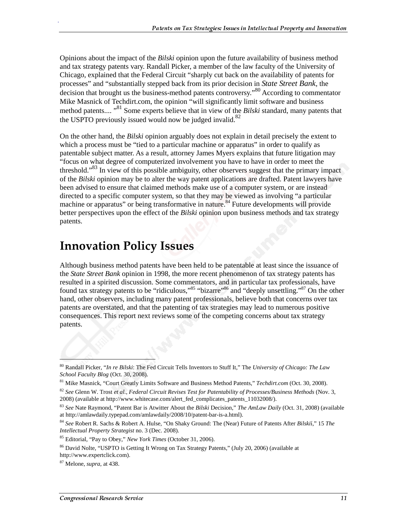Opinions about the impact of the *Bilski* opinion upon the future availability of business method and tax strategy patents vary. Randall Picker, a member of the law faculty of the University of Chicago, explained that the Federal Circuit "sharply cut back on the availability of patents for processes" and "substantially stepped back from its prior decision in *State Street Bank*, the decision that brought us the business-method patents controversy."80 According to commentator Mike Masnick of Techdirt.com, the opinion "will significantly limit software and business method patents....<sup>"81</sup> Some experts believe that in view of the *Bilski* standard, many patents that the USPTO previously issued would now be judged invalid.<sup>82</sup>

On the other hand, the *Bilski* opinion arguably does not explain in detail precisely the extent to which a process must be "tied to a particular machine or apparatus" in order to qualify as patentable subject matter. As a result, attorney James Myers explains that future litigation may "focus on what degree of computerized involvement you have to have in order to meet the threshold.<sup>83</sup> In view of this possible ambiguity, other observers suggest that the primary impact of the *Bilski* opinion may be to alter the way patent applications are drafted. Patent lawyers have been advised to ensure that claimed methods make use of a computer system, or are instead directed to a specific computer system, so that they may be viewed as involving "a particular machine or apparatus" or being transformative in nature.<sup>84</sup> Future developments will provide better perspectives upon the effect of the *Bilski* opinion upon business methods and tax strategy patents.

# **Innovation Policy Issues**

Although business method patents have been held to be patentable at least since the issuance of the *State Street Bank* opinion in 1998, the more recent phenomenon of tax strategy patents has resulted in a spirited discussion. Some commentators, and in particular tax professionals, have found tax strategy patents to be "ridiculous,"<sup>85</sup> "bizarre"<sup>86</sup> and "deeply unsettling."<sup>87</sup> On the other hand, other observers, including many patent professionals, believe both that concerns over tax patents are overstated, and that the patenting of tax strategies may lead to numerous positive consequences. This report next reviews some of the competing concerns about tax strategy patents.

l

<sup>80</sup> Randall Picker, "*In re Bilski*: The Fed Circuit Tells Inventors to Stuff It," The *University of Chicago: The Law School Faculty Blog* (Oct. 30, 2008).

<sup>81</sup> Mike Masnick, "Court Greatly Limits Software and Business Method Patents," *Techdirt.com* (Oct. 30, 2008).

<sup>82</sup> *See* Glenn W. Trost *et al.*, *Federal Circuit Revises Test for Patentability of Processes/Business Methods* (Nov. 3, 2008) (available at http://www.whitecase.com/alert\_fed\_complicates\_patents\_11032008/).

<sup>83</sup> *See* Nate Raymond, "Patent Bar is Atwitter About the *Bilski* Decision," *The AmLaw Daily* (Oct. 31, 2008) (available at http://amlawdaily.typepad.com/amlawdaily/2008/10/patent-bar-is-a.html).

<sup>84</sup> *See* Robert R. Sachs & Robert A. Hulse, "On Shaky Ground: The (Near) Future of Patents After *Bilski*í," 15 *The Intellectual Property Strategist* no. 3 (Dec. 2008).

<sup>85</sup> Editorial, "Pay to Obey," *New York Times* (October 31, 2006).

<sup>86</sup> David Nolte, "USPTO is Getting It Wrong on Tax Strategy Patents," (July 20, 2006) (available at http://www.expertclick.com).

<sup>87</sup> Melone, *supra*, at 438.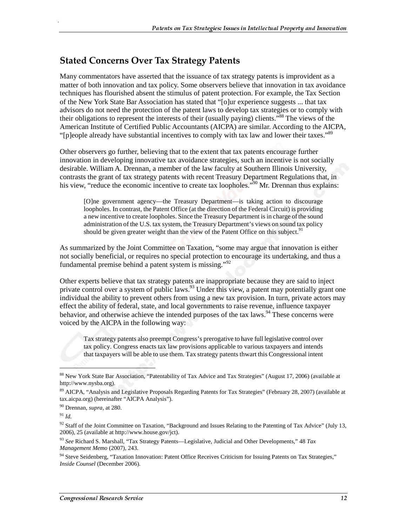### **Stated Concerns Over Tax Strategy Patents**

Many commentators have asserted that the issuance of tax strategy patents is improvident as a matter of both innovation and tax policy. Some observers believe that innovation in tax avoidance techniques has flourished absent the stimulus of patent protection. For example, the Tax Section of the New York State Bar Association has stated that "[o]ur experience suggests ... that tax advisors do not need the protection of the patent laws to develop tax strategies or to comply with their obligations to represent the interests of their (usually paying) clients."88 The views of the American Institute of Certified Public Accountants (AICPA) are similar. According to the AICPA, "[p]eople already have substantial incentives to comply with tax law and lower their taxes."<sup>89</sup>

Other observers go further, believing that to the extent that tax patents encourage further innovation in developing innovative tax avoidance strategies, such an incentive is not socially desirable. William A. Drennan, a member of the law faculty at Southern Illinois University, contrasts the grant of tax strategy patents with recent Treasury Department Regulations that, in his view, "reduce the economic incentive to create tax loopholes."<sup>90</sup> Mr. Drennan thus explains:

[O]ne government agency—the Treasury Department—is taking action to discourage loopholes. In contrast, the Patent Office (at the direction of the Federal Circuit) is providing a new incentive to create loopholes. Since the Treasury Department is in charge of the sound administration of the U.S. tax system, the Treasury Department's views on sound tax policy should be given greater weight than the view of the Patent Office on this subject.<sup>91</sup>

As summarized by the Joint Committee on Taxation, "some may argue that innovation is either not socially beneficial, or requires no special protection to encourage its undertaking, and thus a fundamental premise behind a patent system is missing."<sup>92</sup>

Other experts believe that tax strategy patents are inappropriate because they are said to inject private control over a system of public laws.<sup>93</sup> Under this view, a patent may potentially grant one individual the ability to prevent others from using a new tax provision. In turn, private actors may effect the ability of federal, state, and local governments to raise revenue, influence taxpayer behavior, and otherwise achieve the intended purposes of the tax laws.<sup>94</sup> These concerns were voiced by the AICPA in the following way:

Tax strategy patents also preempt Congress's prerogative to have full legislative control over tax policy. Congress enacts tax law provisions applicable to various taxpayers and intends that taxpayers will be able to use them. Tax strategy patents thwart this Congressional intent

j

<sup>88</sup> New York State Bar Association, "Patentability of Tax Advice and Tax Strategies" (August 17, 2006) (available at http://www.nysba.org).

<sup>89</sup> AICPA, "Analysis and Legislative Proposals Regarding Patents for Tax Strategies" (February 28, 2007) (available at tax.aicpa.org) (hereinafter "AICPA Analysis").

<sup>90</sup> Drennan, *supra*, at 280.

<sup>91</sup> *Id.*

<sup>&</sup>lt;sup>92</sup> Staff of the Joint Committee on Taxation, "Background and Issues Relating to the Patenting of Tax Advice" (July 13, 2006), 25 (available at http://www.house.gov/jct).

<sup>93</sup> *See* Richard S. Marshall, "Tax Strategy Patents—Legislative, Judicial and Other Developments," 48 *Tax Management Memo* (2007), 243.

<sup>&</sup>lt;sup>94</sup> Steve Seidenberg, "Taxation Innovation: Patent Office Receives Criticism for Issuing Patents on Tax Strategies," *Inside Counsel* (December 2006).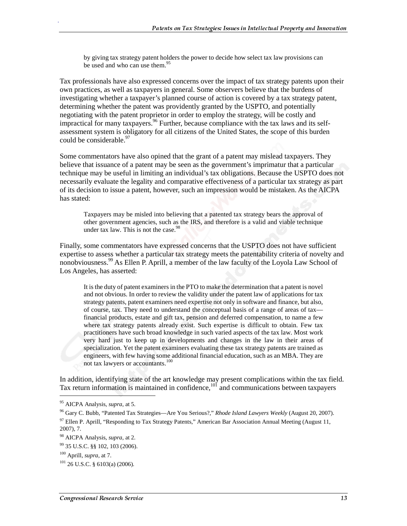by giving tax strategy patent holders the power to decide how select tax law provisions can be used and who can use them.<sup>95</sup>

Tax professionals have also expressed concerns over the impact of tax strategy patents upon their own practices, as well as taxpayers in general. Some observers believe that the burdens of investigating whether a taxpayer's planned course of action is covered by a tax strategy patent, determining whether the patent was providently granted by the USPTO, and potentially negotiating with the patent proprietor in order to employ the strategy, will be costly and impractical for many taxpayers.<sup>96</sup> Further, because compliance with the tax laws and its selfassessment system is obligatory for all citizens of the United States, the scope of this burden could be considerable.<sup>97</sup>

Some commentators have also opined that the grant of a patent may mislead taxpayers. They believe that issuance of a patent may be seen as the government's imprimatur that a particular technique may be useful in limiting an individual's tax obligations. Because the USPTO does not necessarily evaluate the legality and comparative effectiveness of a particular tax strategy as part of its decision to issue a patent, however, such an impression would be mistaken. As the AICPA has stated:

Taxpayers may be misled into believing that a patented tax strategy bears the approval of other government agencies, such as the IRS, and therefore is a valid and viable technique under tax law. This is not the case. $98$ 

Finally, some commentators have expressed concerns that the USPTO does not have sufficient expertise to assess whether a particular tax strategy meets the patentability criteria of novelty and nonobviousness.<sup>99</sup> As Ellen P. Aprill, a member of the law faculty of the Loyola Law School of Los Angeles, has asserted:

It is the duty of patent examiners in the PTO to make the determination that a patent is novel and not obvious. In order to review the validity under the patent law of applications for tax strategy patents, patent examiners need expertise not only in software and finance, but also, of course, tax. They need to understand the conceptual basis of a range of areas of tax financial products, estate and gift tax, pension and deferred compensation, to name a few where tax strategy patents already exist. Such expertise is difficult to obtain. Few tax practitioners have such broad knowledge in such varied aspects of the tax law. Most work very hard just to keep up in developments and changes in the law in their areas of specialization. Yet the patent examiners evaluating these tax strategy patents are trained as engineers, with few having some additional financial education, such as an MBA. They are not tax lawyers or accountants.<sup>100</sup>

In addition, identifying state of the art knowledge may present complications within the tax field. Tax return information is maintained in confidence, $101$  and communications between taxpayers

<sup>95</sup> AICPA Analysis, *supra*, at 5.

<sup>96</sup> Gary C. Bubb, "Patented Tax Strategies—Are You Serious?," *Rhode Island Lawyers Weekly* (August 20, 2007).

 $97$  Ellen P. Aprill, "Responding to Tax Strategy Patents," American Bar Association Annual Meeting (August 11, 2007), 7.

<sup>98</sup> AICPA Analysis, *supra*, at 2.

<sup>99 35</sup> U.S.C. §§ 102, 103 (2006).

<sup>100</sup> Aprill, *supra*, at 7.

 $101$  26 U.S.C. § 6103(a) (2006).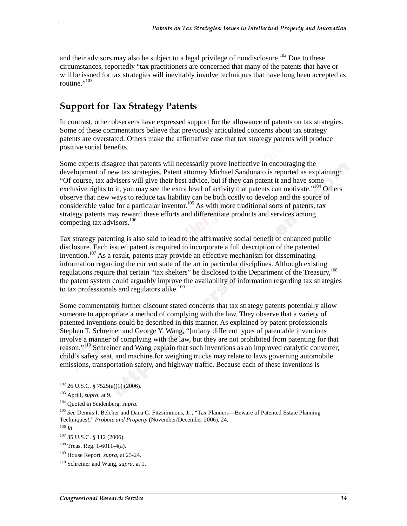and their advisors may also be subject to a legal privilege of nondisclosure.<sup>102</sup> Due to these circumstances, reportedly "tax practitioners are concerned that many of the patents that have or will be issued for tax strategies will inevitably involve techniques that have long been accepted as routine." $^{103}$ 

## **Support for Tax Strategy Patents**

In contrast, other observers have expressed support for the allowance of patents on tax strategies. Some of these commentators believe that previously articulated concerns about tax strategy patents are overstated. Others make the affirmative case that tax strategy patents will produce positive social benefits.

Some experts disagree that patents will necessarily prove ineffective in encouraging the development of new tax strategies. Patent attorney Michael Sandonato is reported as explaining: "Of course, tax advisers will give their best advice, but if they can patent it and have some exclusive rights to it, you may see the extra level of activity that patents can motivate."<sup>104</sup> Others observe that new ways to reduce tax liability can be both costly to develop and the source of considerable value for a particular inventor.<sup>105</sup> As with more traditional sorts of patents, tax strategy patents may reward these efforts and differentiate products and services among competing tax advisors.<sup>106</sup>

Tax strategy patenting is also said to lead to the affirmative social benefit of enhanced public disclosure. Each issued patent is required to incorporate a full description of the patented invention.<sup>107</sup> As a result, patents may provide an effective mechanism for disseminating information regarding the current state of the art in particular disciplines. Although existing regulations require that certain "tax shelters" be disclosed to the Department of the Treasury,<sup>108</sup> the patent system could arguably improve the availability of information regarding tax strategies to tax professionals and regulators alike.<sup>109</sup>

Some commentators further discount stated concerns that tax strategy patents potentially allow someone to appropriate a method of complying with the law. They observe that a variety of patented inventions could be described in this manner. As explained by patent professionals Stephen T. Schreiner and George Y. Wang, "[m]any different types of patentable inventions involve a manner of complying with the law, but they are not prohibited from patenting for that reason."110 Schreiner and Wang explain that such inventions as an improved catalytic converter, child's safety seat, and machine for weighing trucks may relate to laws governing automobile emissions, transportation safety, and highway traffic. Because each of these inventions is

j

 $102$  26 U.S.C. § 7525(a)(1) (2006).

<sup>103</sup> Aprill, *supra*, at 9.

<sup>104</sup> Quoted in Seidenberg, *supra*.

<sup>105</sup> *See* Dennis I. Belcher and Dana G. Fitzsimmons, Jr., "Tax Planners—Beware of Patented Estate Planning Techniques!," *Probate and Property* (November/December 2006), 24.

<sup>106</sup> *Id.*

<sup>107 35</sup> U.S.C. § 112 (2006).

<sup>108</sup> Treas. Reg. 1-6011-4(a).

<sup>109</sup> House Report, *supra*, at 23-24.

<sup>110</sup> Schreiner and Wang, *supra,* at 1.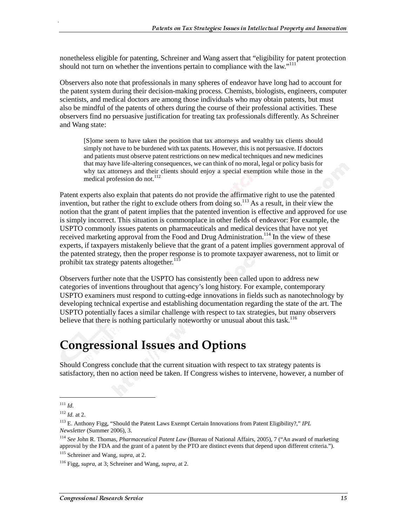nonetheless eligible for patenting, Schreiner and Wang assert that "eligibility for patent protection should not turn on whether the inventions pertain to compliance with the law."<sup>111</sup>

Observers also note that professionals in many spheres of endeavor have long had to account for the patent system during their decision-making process. Chemists, biologists, engineers, computer scientists, and medical doctors are among those individuals who may obtain patents, but must also be mindful of the patents of others during the course of their professional activities. These observers find no persuasive justification for treating tax professionals differently. As Schreiner and Wang state:

[S]ome seem to have taken the position that tax attorneys and wealthy tax clients should simply not have to be burdened with tax patents. However, this is not persuasive. If doctors and patients must observe patent restrictions on new medical techniques and new medicines that may have life-altering consequences, we can think of no moral, legal or policy basis for why tax attorneys and their clients should enjoy a special exemption while those in the medical profession do not.<sup>112</sup>

Patent experts also explain that patents do not provide the affirmative right to use the patented invention, but rather the right to exclude others from doing so.<sup>113</sup> As a result, in their view the notion that the grant of patent implies that the patented invention is effective and approved for use is simply incorrect. This situation is commonplace in other fields of endeavor: For example, the USPTO commonly issues patents on pharmaceuticals and medical devices that have not yet received marketing approval from the Food and Drug Administration.<sup>114</sup> In the view of these experts, if taxpayers mistakenly believe that the grant of a patent implies government approval of the patented strategy, then the proper response is to promote taxpayer awareness, not to limit or prohibit tax strategy patents altogether.<sup>115</sup>

Observers further note that the USPTO has consistently been called upon to address new categories of inventions throughout that agency's long history. For example, contemporary USPTO examiners must respond to cutting-edge innovations in fields such as nanotechnology by developing technical expertise and establishing documentation regarding the state of the art. The USPTO potentially faces a similar challenge with respect to tax strategies, but many observers believe that there is nothing particularly noteworthy or unusual about this task.<sup>116</sup>

# **Congressional Issues and Options**

Should Congress conclude that the current situation with respect to tax strategy patents is satisfactory, then no action need be taken. If Congress wishes to intervene, however, a number of

j

<sup>111</sup> *Id.*

<sup>112</sup> *Id.* at 2.

<sup>113</sup> E. Anthony Figg, "Should the Patent Laws Exempt Certain Innovations from Patent Eligibility?," *IPL Newsletter* (Summer 2006), 3.

<sup>114</sup> *See* John R. Thomas, *Pharmaceutical Patent Law* (Bureau of National Affairs, 2005), 7 ("An award of marketing approval by the FDA and the grant of a patent by the PTO are distinct events that depend upon different criteria.").

<sup>115</sup> Schreiner and Wang, *supra,* at 2.

<sup>116</sup> Figg, *supra*, at 3; Schreiner and Wang, *supra,* at 2.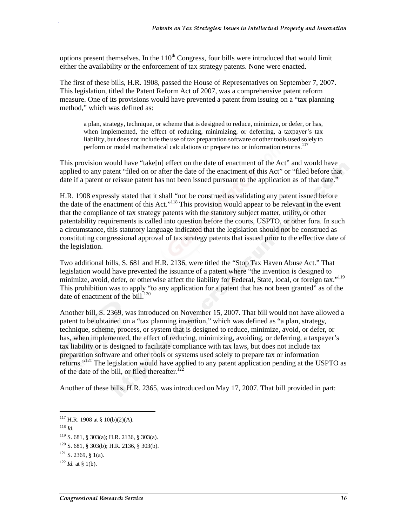options present themselves. In the  $110<sup>th</sup>$  Congress, four bills were introduced that would limit either the availability or the enforcement of tax strategy patents. None were enacted.

The first of these bills, H.R. 1908, passed the House of Representatives on September 7, 2007. This legislation, titled the Patent Reform Act of 2007, was a comprehensive patent reform measure. One of its provisions would have prevented a patent from issuing on a "tax planning method," which was defined as:

a plan, strategy, technique, or scheme that is designed to reduce, minimize, or defer, or has, when implemented, the effect of reducing, minimizing, or deferring, a taxpayer's tax liability, but does not include the use of tax preparation software or other tools used solely to perform or model mathematical calculations or prepare tax or information returns.<sup>117</sup>

This provision would have "take[n] effect on the date of enactment of the Act" and would have applied to any patent "filed on or after the date of the enactment of this Act" or "filed before that date if a patent or reissue patent has not been issued pursuant to the application as of that date."

H.R. 1908 expressly stated that it shall "not be construed as validating any patent issued before the date of the enactment of this Act."<sup>118</sup> This provision would appear to be relevant in the event that the compliance of tax strategy patents with the statutory subject matter, utility, or other patentability requirements is called into question before the courts, USPTO, or other fora. In such a circumstance, this statutory language indicated that the legislation should not be construed as constituting congressional approval of tax strategy patents that issued prior to the effective date of the legislation.

Two additional bills, S. 681 and H.R. 2136, were titled the "Stop Tax Haven Abuse Act." That legislation would have prevented the issuance of a patent where "the invention is designed to minimize, avoid, defer, or otherwise affect the liability for Federal, State, local, or foreign tax."<sup>119</sup> This prohibition was to apply "to any application for a patent that has not been granted" as of the date of enactment of the  $\tilde{\text{bill}}$ <sup>120</sup>

Another bill, S. 2369, was introduced on November 15, 2007. That bill would not have allowed a patent to be obtained on a "tax planning invention," which was defined as "a plan, strategy, technique, scheme, process, or system that is designed to reduce, minimize, avoid, or defer, or has, when implemented, the effect of reducing, minimizing, avoiding, or deferring, a taxpayer's tax liability or is designed to facilitate compliance with tax laws, but does not include tax preparation software and other tools or systems used solely to prepare tax or information returns."121 The legislation would have applied to any patent application pending at the USPTO as of the date of the bill, or filed thereafter.<sup>12</sup>

Another of these bills, H.R. 2365, was introduced on May 17, 2007. That bill provided in part:

 $\overline{a}$ 

 $117$  H.R. 1908 at § 10(b)(2)(A).

<sup>118</sup> *Id.*

<sup>119</sup> S. 681, § 303(a); H.R. 2136, § 303(a).

<sup>120</sup> S. 681, § 303(b); H.R. 2136, § 303(b).

 $121$  S. 2369,  $\frac{1}{21}$  S. 1(a).

 $122$  *Id.* at § 1(b).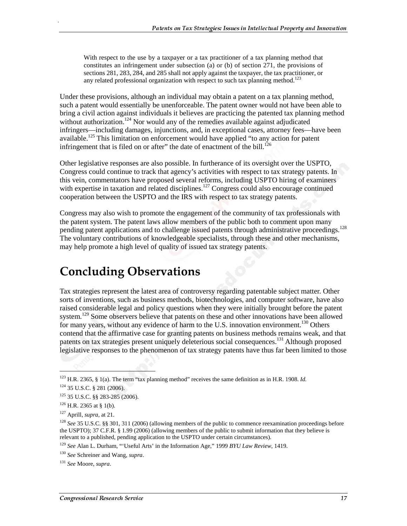With respect to the use by a taxpayer or a tax practitioner of a tax planning method that constitutes an infringement under subsection (a) or (b) of section 271, the provisions of sections 281, 283, 284, and 285 shall not apply against the taxpayer, the tax practitioner, or any related professional organization with respect to such tax planning method.<sup>123</sup>

Under these provisions, although an individual may obtain a patent on a tax planning method, such a patent would essentially be unenforceable. The patent owner would not have been able to bring a civil action against individuals it believes are practicing the patented tax planning method without authorization.<sup>124</sup> Nor would any of the remedies available against adjudicated infringers—including damages, injunctions, and, in exceptional cases, attorney fees—have been available.<sup>125</sup> This limitation on enforcement would have applied "to any action for patent" infringement that is filed on or after" the date of enactment of the bill.<sup>126</sup>

Other legislative responses are also possible. In furtherance of its oversight over the USPTO, Congress could continue to track that agency's activities with respect to tax strategy patents. In this vein, commentators have proposed several reforms, including USPTO hiring of examiners with expertise in taxation and related disciplines.<sup>127</sup> Congress could also encourage continued cooperation between the USPTO and the IRS with respect to tax strategy patents.

Congress may also wish to promote the engagement of the community of tax professionals with the patent system. The patent laws allow members of the public both to comment upon many pending patent applications and to challenge issued patents through administrative proceedings.<sup>128</sup> The voluntary contributions of knowledgeable specialists, through these and other mechanisms, may help promote a high level of quality of issued tax strategy patents.

# **Concluding Observations**

Tax strategies represent the latest area of controversy regarding patentable subject matter. Other sorts of inventions, such as business methods, biotechnologies, and computer software, have also raised considerable legal and policy questions when they were initially brought before the patent system.<sup>129</sup> Some observers believe that patents on these and other innovations have been allowed for many years, without any evidence of harm to the U.S. innovation environment.<sup>130</sup> Others contend that the affirmative case for granting patents on business methods remains weak, and that patents on tax strategies present uniquely deleterious social consequences.<sup>131</sup> Although proposed legislative responses to the phenomenon of tax strategy patents have thus far been limited to those

 $\overline{\phantom{a}}$ 

<sup>123</sup> H.R. 2365, § 1(a). The term "tax planning method" receives the same definition as in H.R. 1908. *Id.*

<sup>124 35</sup> U.S.C. § 281 (2006).

<sup>125 35</sup> U.S.C. §§ 283-285 (2006).

 $126$  H.R. 2365 at § 1(b).

<sup>127</sup> Aprill, *supra*, at 21.

<sup>128</sup> *See* 35 U.S.C. §§ 301, 311 (2006) (allowing members of the public to commence reexamination proceedings before the USPTO); 37 C.F.R. § 1.99 (2006) (allowing members of the public to submit information that they believe is relevant to a published, pending application to the USPTO under certain circumstances).

<sup>129</sup> *See* Alan L. Durham, "'Useful Arts' in the Information Age," 1999 *BYU Law Review*, 1419.

<sup>130</sup> *See* Schreiner and Wang, *supra*.

<sup>131</sup> *See* Moore, *supra*.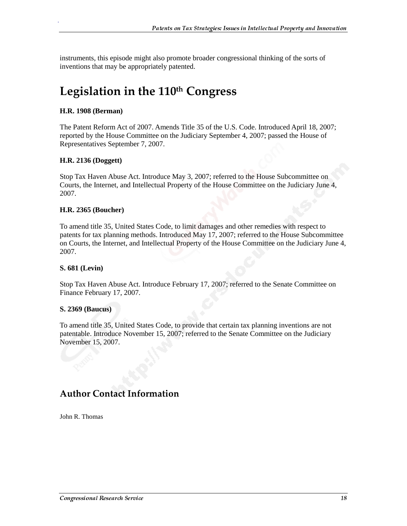instruments, this episode might also promote broader congressional thinking of the sorts of inventions that may be appropriately patented.

# Legislation in the 110th Congress

### **H.R. 1908 (Berman)**

.

The Patent Reform Act of 2007. Amends Title 35 of the U.S. Code. Introduced April 18, 2007; reported by the House Committee on the Judiciary September 4, 2007; passed the House of Representatives September 7, 2007.

### **H.R. 2136 (Doggett)**

Stop Tax Haven Abuse Act. Introduce May 3, 2007; referred to the House Subcommittee on Courts, the Internet, and Intellectual Property of the House Committee on the Judiciary June 4, 2007.

### **H.R. 2365 (Boucher)**

To amend title 35, United States Code, to limit damages and other remedies with respect to patents for tax planning methods. Introduced May 17, 2007; referred to the House Subcommittee on Courts, the Internet, and Intellectual Property of the House Committee on the Judiciary June 4, 2007.

### **S. 681 (Levin)**

Stop Tax Haven Abuse Act. Introduce February 17, 2007; referred to the Senate Committee on Finance February 17, 2007.

### **S. 2369 (Baucus)**

To amend title 35, United States Code, to provide that certain tax planning inventions are not patentable. Introduce November 15, 2007; referred to the Senate Committee on the Judiciary November 15, 2007.

## **Author Contact Information**

John R. Thomas